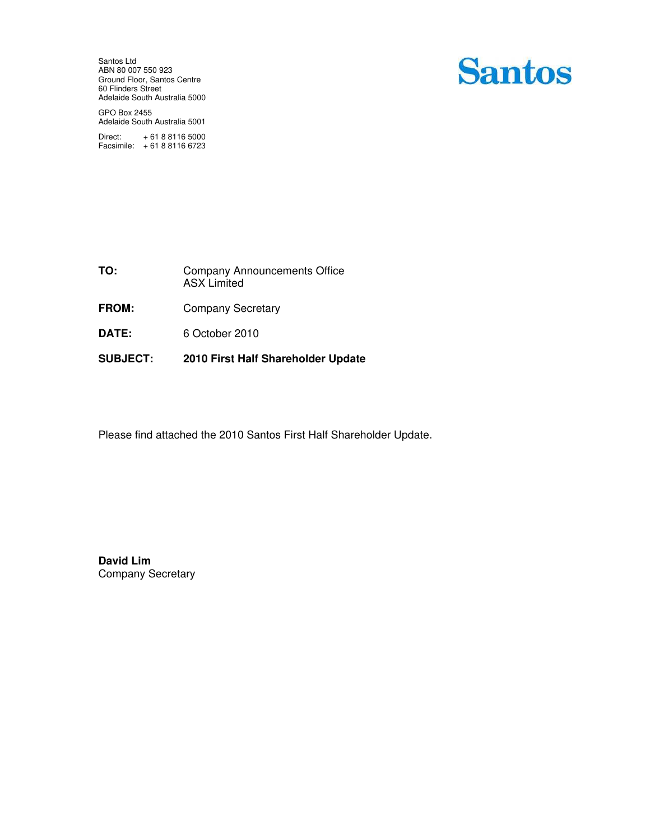Santos Ltd ABN 80 007 550 923 Ground Floor, Santos Centre 60 Flinders Street Adelaide South Australia 5000 **Santos** 

GPO Box 2455 Adelaide South Australia 5001

Direct: + 61 8 8116 5000 Facsimile: + 61 8 8116 6723

| TO: | <b>Company Announcements Office</b> |
|-----|-------------------------------------|
|     | <b>ASX Limited</b>                  |

- FROM: Company Secretary
- **DATE:** 6 October 2010
- **SUBJECT: 2010 First Half Shareholder Update**

Please find attached the 2010 Santos First Half Shareholder Update.

**David Lim**  Company Secretary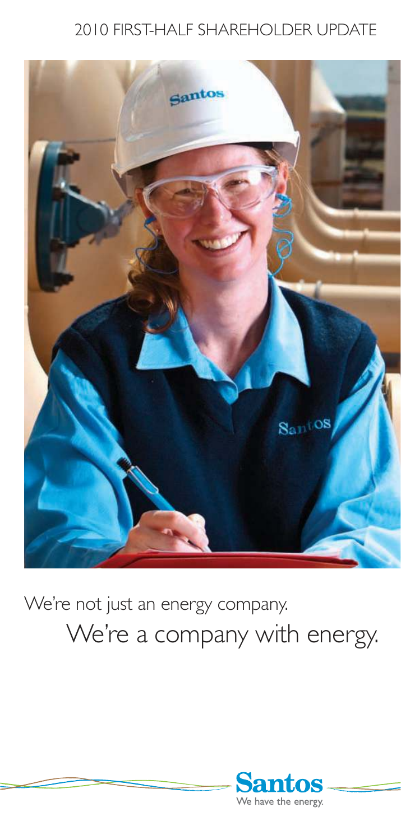### 2010 FIRST-HALF SHAREHOLDER UPDATE



## We're not just an energy company. We're a company with energy.

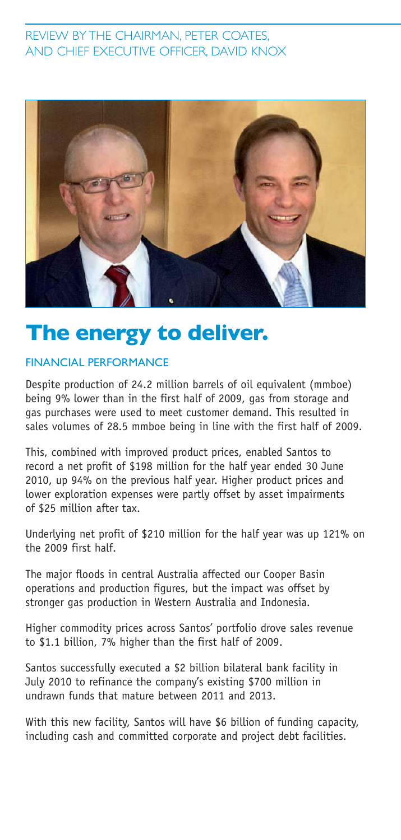### REVIEW BY THE CHAIRMAN, PETER COATES, AND CHIEF EXECUTIVE OFFICER, DAVID KNOX



### **The energy to deliver.**

### FINANCIAL PERFORMANCE

Despite production of 24.2 million barrels of oil equivalent (mmboe) being 9% lower than in the first half of 2009, gas from storage and gas purchases were used to meet customer demand. This resulted in sales volumes of 28.5 mmboe being in line with the first half of 2009.

This, combined with improved product prices, enabled Santos to record a net profit of \$198 million for the half year ended 30 June 2010, up 94% on the previous half year. Higher product prices and lower exploration expenses were partly offset by asset impairments of \$25 million after tax.

Underlying net profit of \$210 million for the half year was up 121% on the 2009 first half.

The major floods in central Australia affected our Cooper Basin operations and production figures, but the impact was offset by stronger gas production in Western Australia and Indonesia.

Higher commodity prices across Santos' portfolio drove sales revenue to \$1.1 billion, 7% higher than the first half of 2009.

Santos successfully executed a \$2 billion bilateral bank facility in July 2010 to refinance the company's existing \$700 million in undrawn funds that mature between 2011 and 2013.

With this new facility, Santos will have \$6 billion of funding capacity, including cash and committed corporate and project debt facilities.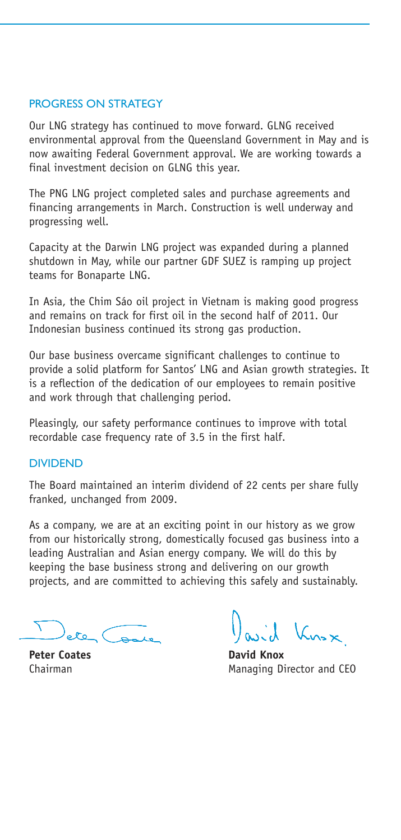### PROGRESS ON STRATEGY

Our LNG strategy has continued to move forward. GLNG received environmental approval from the Queensland Government in May and is now awaiting Federal Government approval. We are working towards a final investment decision on GLNG this year.

The PNG LNG project completed sales and purchase agreements and financing arrangements in March. Construction is well underway and progressing well.

Capacity at the Darwin LNG project was expanded during a planned shutdown in May, while our partner GDF SUEZ is ramping up project teams for Bonaparte LNG.

In Asia, the Chim Sáo oil project in Vietnam is making good progress and remains on track for first oil in the second half of 2011. Our Indonesian business continued its strong gas production.

Our base business overcame significant challenges to continue to provide a solid platform for Santos' LNG and Asian growth strategies. It is a reflection of the dedication of our employees to remain positive and work through that challenging period.

Pleasingly, our safety performance continues to improve with total recordable case frequency rate of 3.5 in the first half.

#### DIVIDEND

The Board maintained an interim dividend of 22 cents per share fully franked, unchanged from 2009.

As a company, we are at an exciting point in our history as we grow from our historically strong, domestically focused gas business into a leading Australian and Asian energy company. We will do this by keeping the base business strong and delivering on our growth projects, and are committed to achieving this safely and sustainably.

Ball

Pavil Kusx

**Peter Coates David Knox** Chairman Managing Director and CEO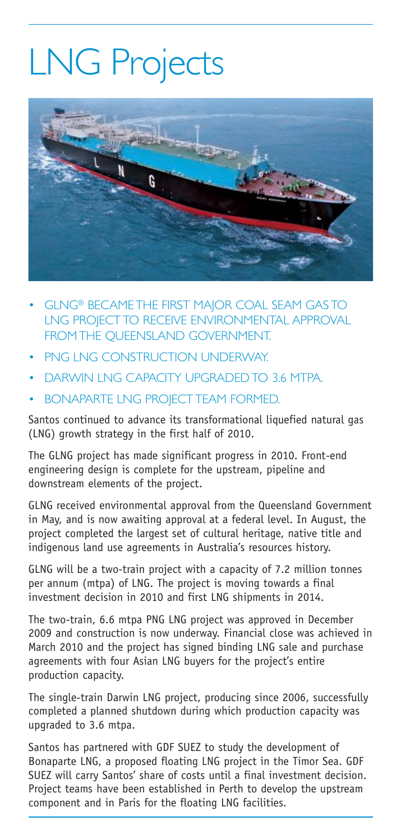# LNG Projects



- GLNG<sup>®</sup> BECAME THE FIRST MAJOR COAL SEAM GAS TO LNG PROJECT TO RECEIVE ENVIRONMENTAL APPROVAL FROM THE QUEENSLAND GOVERNMENT.
- PNG LNG CONSTRUCTION UNDERWAY.
- DARWIN LNG CAPACITY UPGRADED TO 3.6 MTPA.
- BONAPARTE LNG PROJECT TEAM FORMED.

Santos continued to advance its transformational liquefied natural gas (LNG) growth strategy in the first half of 2010.

The GLNG project has made significant progress in 2010. Front-end engineering design is complete for the upstream, pipeline and downstream elements of the project.

GLNG received environmental approval from the Queensland Government in May, and is now awaiting approval at a federal level. In August, the project completed the largest set of cultural heritage, native title and indigenous land use agreements in Australia's resources history.

GLNG will be a two-train project with a capacity of 7.2 million tonnes per annum (mtpa) of LNG. The project is moving towards a final investment decision in 2010 and first LNG shipments in 2014.

The two-train, 6.6 mtpa PNG LNG project was approved in December 2009 and construction is now underway. Financial close was achieved in March 2010 and the project has signed binding LNG sale and purchase agreements with four Asian LNG buyers for the project's entire production capacity.

The single-train Darwin LNG project, producing since 2006, successfully completed a planned shutdown during which production capacity was upgraded to 3.6 mtpa.

Santos has partnered with GDF SUEZ to study the development of Bonaparte LNG, a proposed floating LNG project in the Timor Sea. GDF SUEZ will carry Santos' share of costs until a final investment decision. Project teams have been established in Perth to develop the upstream component and in Paris for the floating LNG facilities.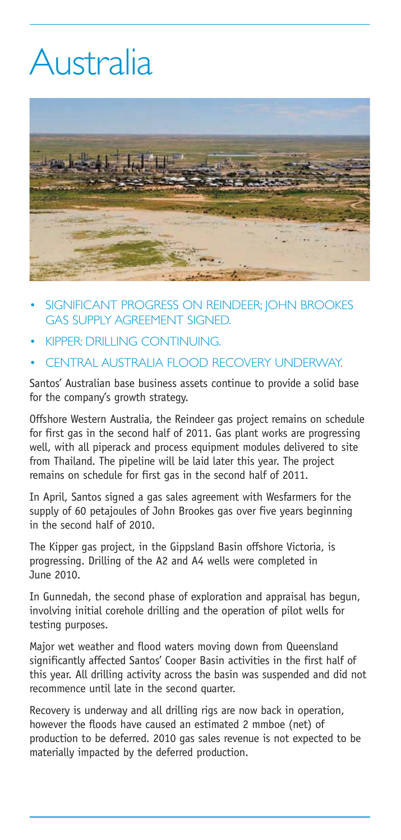# Australia



- SIGNIFICANT PROGRESS ON REINDEER; JOHN BROOKES GAS SUPPLY AGREEMENT SIGNED.
- KIPPER: DRILLING CONTINUING.
- CENTRAL AUSTRALIA FLOOD RECOVERY UNDERWAY.

Santos' Australian base business assets continue to provide a solid base for the company's growth strategy.

Offshore Western Australia, the Reindeer gas project remains on schedule for first gas in the second half of 2011. Gas plant works are progressing well, with all piperack and process equipment modules delivered to site from Thailand. The pipeline will be laid later this year. The project remains on schedule for first gas in the second half of 2011.

In April, Santos signed a gas sales agreement with Wesfarmers for the supply of 60 petajoules of John Brookes gas over five years beginning in the second half of 2010.

The Kipper gas project, in the Gippsland Basin offshore Victoria, is progressing. Drilling of the A2 and A4 wells were completed in June 2010.

In Gunnedah, the second phase of exploration and appraisal has begun, involving initial corehole drilling and the operation of pilot wells for testing purposes.

Major wet weather and flood waters moving down from Queensland significantly affected Santos' Cooper Basin activities in the first half of this year. All drilling activity across the basin was suspended and did not recommence until late in the second quarter.

Recovery is underway and all drilling rigs are now back in operation, however the floods have caused an estimated 2 mmboe (net) of production to be deferred. 2010 gas sales revenue is not expected to be materially impacted by the deferred production.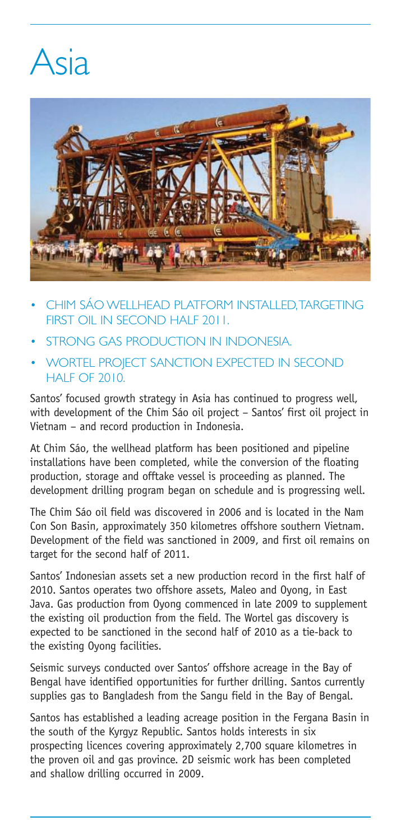## Asia



- CHIM SÁO WELLHEAD PLATFORM INSTALLED, TARGETING FIRST OIL IN SECOND HALF 2011.
- STRONG GAS PRODUCTION IN INDONESIA.
- WORTEL PROJECT SANCTION EXPECTED IN SECOND HALF OF 2010.

Santos' focused growth strategy in Asia has continued to progress well, with development of the Chim Sáo oil project – Santos' first oil project in Vietnam – and record production in Indonesia.

At Chim Sáo, the wellhead platform has been positioned and pipeline installations have been completed, while the conversion of the floating production, storage and offtake vessel is proceeding as planned. The development drilling program began on schedule and is progressing well.

The Chim Sáo oil field was discovered in 2006 and is located in the Nam Con Son Basin, approximately 350 kilometres offshore southern Vietnam. Development of the field was sanctioned in 2009, and first oil remains on target for the second half of 2011.

Santos' Indonesian assets set a new production record in the first half of 2010. Santos operates two offshore assets, Maleo and Oyong, in East Java. Gas production from Oyong commenced in late 2009 to supplement the existing oil production from the field. The Wortel gas discovery is expected to be sanctioned in the second half of 2010 as a tie-back to the existing Oyong facilities.

Seismic surveys conducted over Santos' offshore acreage in the Bay of Bengal have identified opportunities for further drilling. Santos currently supplies gas to Bangladesh from the Sangu field in the Bay of Bengal.

Santos has established a leading acreage position in the Fergana Basin in the south of the Kyrgyz Republic. Santos holds interests in six prospecting licences covering approximately 2,700 square kilometres in the proven oil and gas province. 2D seismic work has been completed and shallow drilling occurred in 2009.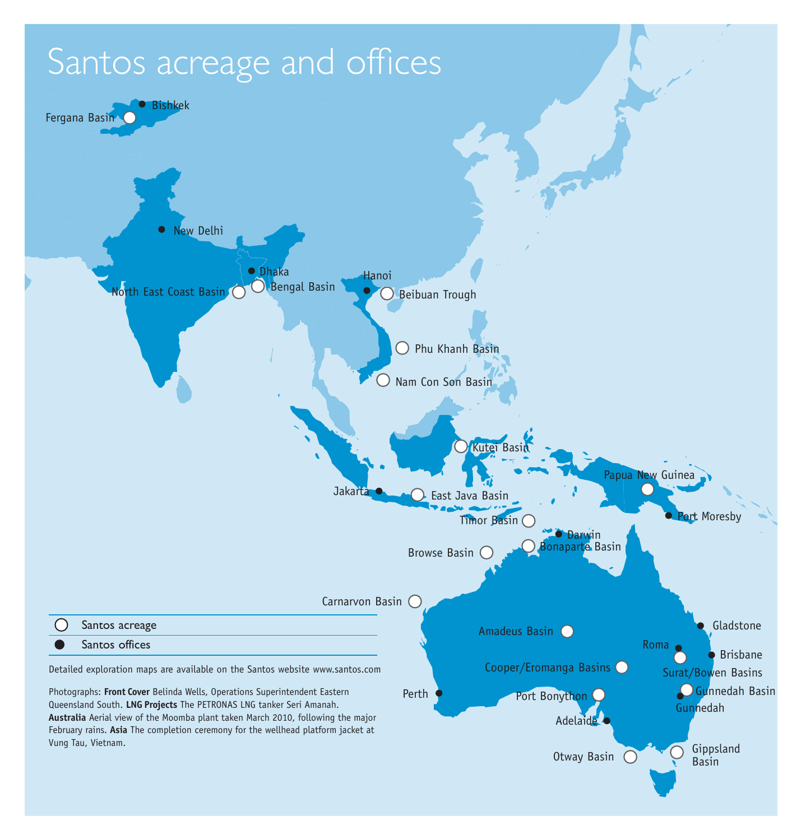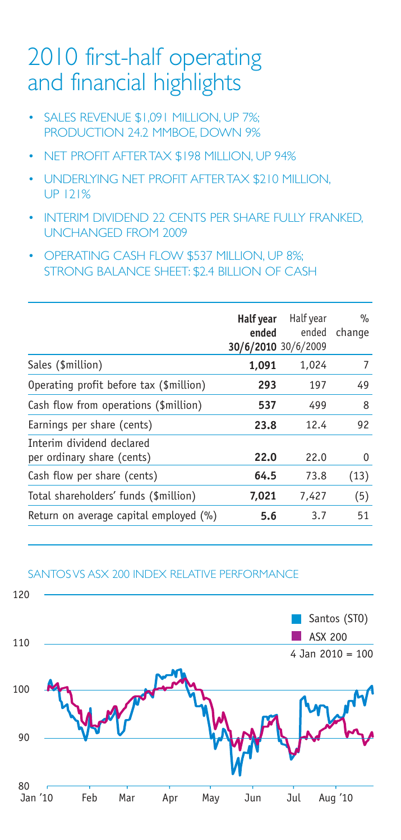### 2010 first-half operating and financial highlights

- SALES REVENUE \$1,091 MILLION, UP 7%; PRODUCTION 24.2 MMBOE, DOWN 9%
- NET PROFIT AFTER TAX \$198 MILLION, UP 94%
- UNDERLYING NET PROFIT AFTER TAX \$210 MILLION, UP 121%
- INTERIM DIVIDEND 22 CENTS PER SHARE FULLY FRANKED. UNCHANGED FROM 2009
- OPERATING CASH FLOW \$537 MILLION, UP 8%; STRONG BALANCE SHEET: \$2.4 BILLION OF CASH

|       | Half year<br>ended | $\%$<br>change                            |
|-------|--------------------|-------------------------------------------|
| 1,091 | 1,024              | 7                                         |
| 293   | 197                | 49                                        |
| 537   | 499                | 8                                         |
| 23.8  | 12.4               | 92                                        |
| 22.0  | 22.0               | 0                                         |
| 64.5  | 73.8               | (13)                                      |
| 7,021 | 7,427              | (5)                                       |
| 5.6   | 3.7                | 51                                        |
|       |                    | Half year<br>ended<br>30/6/2010 30/6/2009 |

### SANTOS VS ASX 200 INDEX RELATIVE PERFORMANCE